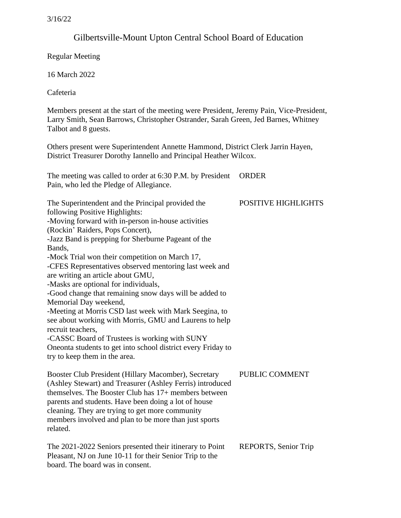# Gilbertsville-Mount Upton Central School Board of Education

Regular Meeting

16 March 2022

board. The board was in consent.

Cafeteria

Members present at the start of the meeting were President, Jeremy Pain, Vice-President, Larry Smith, Sean Barrows, Christopher Ostrander, Sarah Green, Jed Barnes, Whitney Talbot and 8 guests.

Others present were Superintendent Annette Hammond, District Clerk Jarrin Hayen, District Treasurer Dorothy Iannello and Principal Heather Wilcox.

The meeting was called to order at 6:30 P.M. by President ORDER Pain, who led the Pledge of Allegiance.

| The Superintendent and the Principal provided the<br>following Positive Highlights:<br>-Moving forward with in-person in-house activities<br>(Rockin' Raiders, Pops Concert),<br>-Jazz Band is prepping for Sherburne Pageant of the<br>Bands,<br>-Mock Trial won their competition on March 17,<br>-CFES Representatives observed mentoring last week and<br>are writing an article about GMU,<br>-Masks are optional for individuals,<br>-Good change that remaining snow days will be added to<br>Memorial Day weekend,<br>-Meeting at Morris CSD last week with Mark Seegina, to<br>see about working with Morris, GMU and Laurens to help<br>recruit teachers,<br>-CASSC Board of Trustees is working with SUNY<br>Oneonta students to get into school district every Friday to<br>try to keep them in the area. | <b>POSITIVE HIGHLIGHTS</b> |
|-----------------------------------------------------------------------------------------------------------------------------------------------------------------------------------------------------------------------------------------------------------------------------------------------------------------------------------------------------------------------------------------------------------------------------------------------------------------------------------------------------------------------------------------------------------------------------------------------------------------------------------------------------------------------------------------------------------------------------------------------------------------------------------------------------------------------|----------------------------|
| Booster Club President (Hillary Macomber), Secretary<br>(Ashley Stewart) and Treasurer (Ashley Ferris) introduced<br>themselves. The Booster Club has 17+ members between<br>parents and students. Have been doing a lot of house<br>cleaning. They are trying to get more community<br>members involved and plan to be more than just sports<br>related.                                                                                                                                                                                                                                                                                                                                                                                                                                                             | PUBLIC COMMENT             |
| The 2021-2022 Seniors presented their itinerary to Point<br>Pleasant, NJ on June 10-11 for their Senior Trip to the                                                                                                                                                                                                                                                                                                                                                                                                                                                                                                                                                                                                                                                                                                   | REPORTS, Senior Trip       |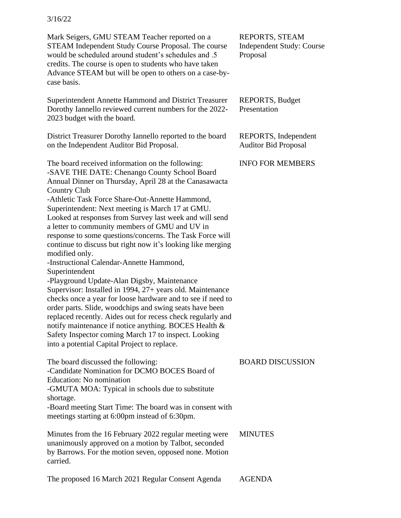Mark Seigers, GMU STEAM Teacher reported on a STEAM Independent Study Course Proposal. The course would be scheduled around student's schedules and .5 credits. The course is open to students who have taken Advance STEAM but will be open to others on a case-bycase basis.

Superintendent Annette Hammond and District Treasurer Dorothy Iannello reviewed current numbers for the 2022- 2023 budget with the board.

District Treasurer Dorothy Iannello reported to the board on the Independent Auditor Bid Proposal.

The board received information on the following: -SAVE THE DATE: Chenango County School Board Annual Dinner on Thursday, April 28 at the Canasawacta Country Club -Athletic Task Force Share-Out-Annette Hammond, Superintendent: Next meeting is March 17 at GMU. Looked at responses from Survey last week and will send a letter to community members of GMU and UV in response to some questions/concerns. The Task Force will continue to discuss but right now it's looking like merging modified only. -Instructional Calendar-Annette Hammond, Superintendent -Playground Update-Alan Digsby, Maintenance Supervisor: Installed in 1994, 27+ years old. Maintenance checks once a year for loose hardware and to see if need to order parts. Slide, woodchips and swing seats have been replaced recently. Aides out for recess check regularly and notify maintenance if notice anything. BOCES Health & Safety Inspector coming March 17 to inspect. Looking into a potential Capital Project to replace.

| The board discussed the following:                                                                                                                                       | <b>BOARD DISCUSSION</b> |
|--------------------------------------------------------------------------------------------------------------------------------------------------------------------------|-------------------------|
| -Candidate Nomination for DCMO BOCES Board of                                                                                                                            |                         |
| Education: No nomination                                                                                                                                                 |                         |
| -GMUTA MOA: Typical in schools due to substitute                                                                                                                         |                         |
| shortage.                                                                                                                                                                |                         |
| -Board meeting Start Time: The board was in consent with<br>meetings starting at 6:00pm instead of 6:30pm.                                                               |                         |
| Minutes from the 16 February 2022 regular meeting were<br>unanimously approved on a motion by Talbot, seconded<br>by Barrows. For the motion seven, opposed none. Motion | <b>MINUTES</b>          |
| carried.                                                                                                                                                                 |                         |

REPORTS, STEAM Independent Study: Course Proposal

REPORTS, Budget Presentation

REPORTS, Independent Auditor Bid Proposal

INFO FOR MEMBERS

The proposed 16 March 2021 Regular Consent Agenda AGENDA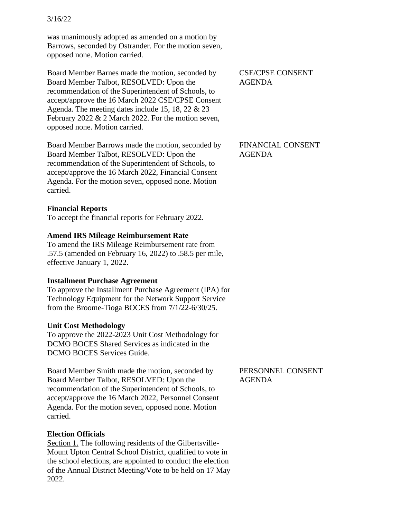was unanimously adopted as amended on a motion by Barrows, seconded by Ostrander. For the motion seven, opposed none. Motion carried.

Board Member Barnes made the motion, seconded by Board Member Talbot, RESOLVED: Upon the recommendation of the Superintendent of Schools, to accept/approve the 16 March 2022 CSE/CPSE Consent Agenda. The meeting dates include 15, 18, 22 & 23 February 2022 & 2 March 2022. For the motion seven, opposed none. Motion carried.

Board Member Barrows made the motion, seconded by Board Member Talbot, RESOLVED: Upon the recommendation of the Superintendent of Schools, to accept/approve the 16 March 2022, Financial Consent Agenda. For the motion seven, opposed none. Motion carried.

### **Financial Reports**

To accept the financial reports for February 2022.

### **Amend IRS Mileage Reimbursement Rate**

To amend the IRS Mileage Reimbursement rate from .57.5 (amended on February 16, 2022) to .58.5 per mile, effective January 1, 2022.

#### **Installment Purchase Agreement**

To approve the Installment Purchase Agreement (IPA) for Technology Equipment for the Network Support Service from the Broome-Tioga BOCES from 7/1/22-6/30/25.

#### **Unit Cost Methodology**

To approve the 2022-2023 Unit Cost Methodology for DCMO BOCES Shared Services as indicated in the DCMO BOCES Services Guide.

Board Member Smith made the motion, seconded by Board Member Talbot, RESOLVED: Upon the recommendation of the Superintendent of Schools, to accept/approve the 16 March 2022, Personnel Consent Agenda. For the motion seven, opposed none. Motion carried.

### **Election Officials**

Section 1. The following residents of the Gilbertsville-Mount Upton Central School District, qualified to vote in the school elections, are appointed to conduct the election of the Annual District Meeting/Vote to be held on 17 May 2022.

CSE/CPSE CONSENT AGENDA

FINANCIAL CONSENT AGENDA

PERSONNEL CONSENT AGENDA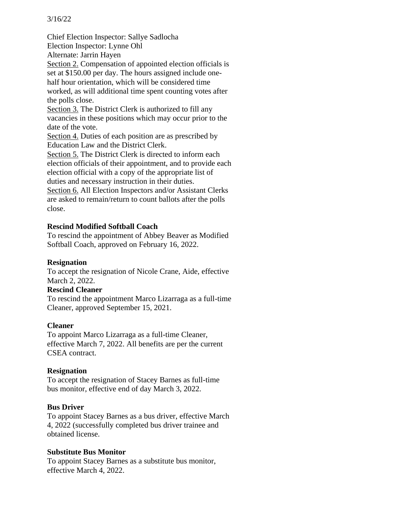Chief Election Inspector: Sallye Sadlocha Election Inspector: Lynne Ohl Alternate: Jarrin Hayen Section 2. Compensation of appointed election officials is set at \$150.00 per day. The hours assigned include onehalf hour orientation, which will be considered time worked, as will additional time spent counting votes after the polls close. Section 3. The District Clerk is authorized to fill any vacancies in these positions which may occur prior to the date of the vote. Section 4. Duties of each position are as prescribed by Education Law and the District Clerk. Section 5. The District Clerk is directed to inform each election officials of their appointment, and to provide each election official with a copy of the appropriate list of duties and necessary instruction in their duties. Section 6. All Election Inspectors and/or Assistant Clerks are asked to remain/return to count ballots after the polls close.

### **Rescind Modified Softball Coach**

To rescind the appointment of Abbey Beaver as Modified Softball Coach, approved on February 16, 2022.

### **Resignation**

To accept the resignation of Nicole Crane, Aide, effective March 2, 2022.

### **Rescind Cleaner**

To rescind the appointment Marco Lizarraga as a full-time Cleaner, approved September 15, 2021.

### **Cleaner**

To appoint Marco Lizarraga as a full-time Cleaner, effective March 7, 2022. All benefits are per the current CSEA contract.

### **Resignation**

To accept the resignation of Stacey Barnes as full-time bus monitor, effective end of day March 3, 2022.

### **Bus Driver**

To appoint Stacey Barnes as a bus driver, effective March 4, 2022 (successfully completed bus driver trainee and obtained license.

### **Substitute Bus Monitor**

To appoint Stacey Barnes as a substitute bus monitor, effective March 4, 2022.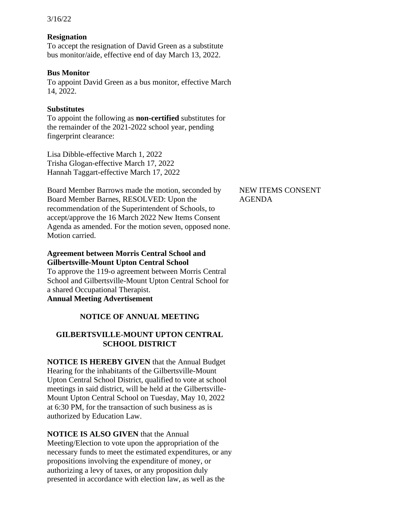### **Resignation**

To accept the resignation of David Green as a substitute bus monitor/aide, effective end of day March 13, 2022.

#### **Bus Monitor**

To appoint David Green as a bus monitor, effective March 14, 2022.

#### **Substitutes**

To appoint the following as **non-certified** substitutes for the remainder of the 2021-2022 school year, pending fingerprint clearance:

Lisa Dibble-effective March 1, 2022 Trisha Glogan-effective March 17, 2022 Hannah Taggart-effective March 17, 2022

Board Member Barrows made the motion, seconded by Board Member Barnes, RESOLVED: Upon the recommendation of the Superintendent of Schools, to accept/approve the 16 March 2022 New Items Consent Agenda as amended. For the motion seven, opposed none. Motion carried.

### **Agreement between Morris Central School and Gilbertsville-Mount Upton Central School**

To approve the 119-o agreement between Morris Central School and Gilbertsville-Mount Upton Central School for a shared Occupational Therapist. **Annual Meeting Advertisement** 

# **NOTICE OF ANNUAL MEETING**

# **GILBERTSVILLE-MOUNT UPTON CENTRAL SCHOOL DISTRICT**

**NOTICE IS HEREBY GIVEN** that the Annual Budget Hearing for the inhabitants of the Gilbertsville-Mount Upton Central School District, qualified to vote at school meetings in said district, will be held at the Gilbertsville-Mount Upton Central School on Tuesday, May 10, 2022 at 6:30 PM, for the transaction of such business as is authorized by Education Law.

### **NOTICE IS ALSO GIVEN** that the Annual

Meeting/Election to vote upon the appropriation of the necessary funds to meet the estimated expenditures, or any propositions involving the expenditure of money, or authorizing a levy of taxes, or any proposition duly presented in accordance with election law, as well as the

### NEW ITEMS CONSENT AGENDA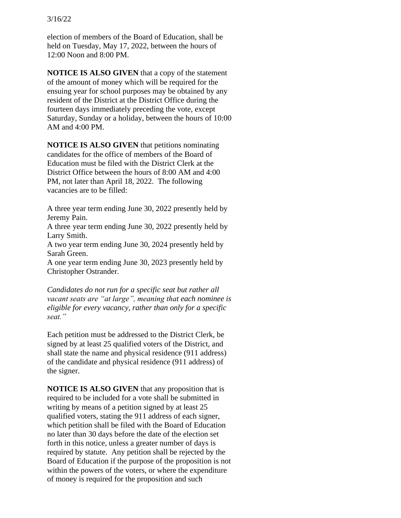election of members of the Board of Education, shall be held on Tuesday, May 17, 2022, between the hours of 12:00 Noon and 8:00 PM.

**NOTICE IS ALSO GIVEN** that a copy of the statement of the amount of money which will be required for the ensuing year for school purposes may be obtained by any resident of the District at the District Office during the fourteen days immediately preceding the vote, except Saturday, Sunday or a holiday, between the hours of 10:00 AM and 4:00 PM.

**NOTICE IS ALSO GIVEN** that petitions nominating candidates for the office of members of the Board of Education must be filed with the District Clerk at the District Office between the hours of 8:00 AM and 4:00 PM, not later than April 18, 2022. The following vacancies are to be filled:

A three year term ending June 30, 2022 presently held by Jeremy Pain.

A three year term ending June 30, 2022 presently held by Larry Smith.

A two year term ending June 30, 2024 presently held by Sarah Green.

A one year term ending June 30, 2023 presently held by Christopher Ostrander.

*Candidates do not run for a specific seat but rather all vacant seats are "at large", meaning that each nominee is eligible for every vacancy, rather than only for a specific seat."* 

Each petition must be addressed to the District Clerk, be signed by at least 25 qualified voters of the District, and shall state the name and physical residence (911 address) of the candidate and physical residence (911 address) of the signer.

**NOTICE IS ALSO GIVEN** that any proposition that is required to be included for a vote shall be submitted in writing by means of a petition signed by at least 25 qualified voters, stating the 911 address of each signer, which petition shall be filed with the Board of Education no later than 30 days before the date of the election set forth in this notice, unless a greater number of days is required by statute. Any petition shall be rejected by the Board of Education if the purpose of the proposition is not within the powers of the voters, or where the expenditure of money is required for the proposition and such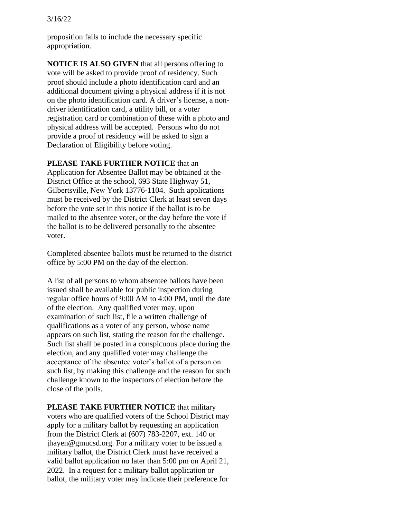proposition fails to include the necessary specific appropriation.

**NOTICE IS ALSO GIVEN** that all persons offering to vote will be asked to provide proof of residency. Such proof should include a photo identification card and an additional document giving a physical address if it is not on the photo identification card. A driver's license, a nondriver identification card, a utility bill, or a voter registration card or combination of these with a photo and physical address will be accepted. Persons who do not provide a proof of residency will be asked to sign a Declaration of Eligibility before voting.

#### **PLEASE TAKE FURTHER NOTICE** that an

Application for Absentee Ballot may be obtained at the District Office at the school, 693 State Highway 51, Gilbertsville, New York 13776-1104. Such applications must be received by the District Clerk at least seven days before the vote set in this notice if the ballot is to be mailed to the absentee voter, or the day before the vote if the ballot is to be delivered personally to the absentee voter.

Completed absentee ballots must be returned to the district office by 5:00 PM on the day of the election.

A list of all persons to whom absentee ballots have been issued shall be available for public inspection during regular office hours of 9:00 AM to 4:00 PM, until the date of the election. Any qualified voter may, upon examination of such list, file a written challenge of qualifications as a voter of any person, whose name appears on such list, stating the reason for the challenge. Such list shall be posted in a conspicuous place during the election, and any qualified voter may challenge the acceptance of the absentee voter's ballot of a person on such list, by making this challenge and the reason for such challenge known to the inspectors of election before the close of the polls.

**PLEASE TAKE FURTHER NOTICE** that military voters who are qualified voters of the School District may apply for a military ballot by requesting an application from the District Clerk at (607) 783-2207, ext. 140 or jhayen@gmucsd.org. For a military voter to be issued a military ballot, the District Clerk must have received a valid ballot application no later than 5:00 pm on April 21, 2022. In a request for a military ballot application or ballot, the military voter may indicate their preference for